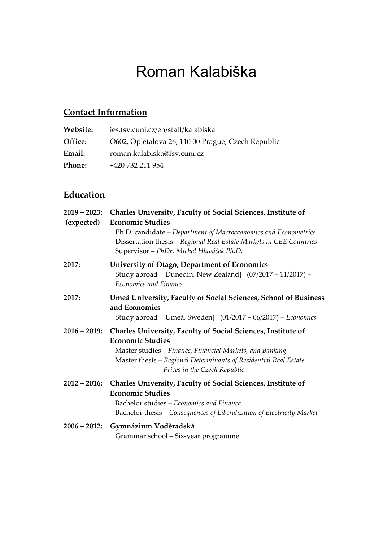# Roman Kalabiška

# **Contact Information**

| Website: | ies.fsv.cuni.cz/en/staff/kalabiska                 |
|----------|----------------------------------------------------|
| Office:  | O602, Opletalova 26, 110 00 Prague, Czech Republic |
| Email:   | roman.kalabiska@fsv.cuni.cz                        |
| Phone:   | +420 732 211 954                                   |

## **Education**

| $2019 - 2023$ :<br>(expected) | Charles University, Faculty of Social Sciences, Institute of<br><b>Economic Studies</b><br>Ph.D. candidate - Department of Macroeconomics and Econometrics<br>Dissertation thesis - Regional Real Estate Markets in CEE Countries<br>Supervisor - PhDr. Michal Hlaváček Ph.D. |
|-------------------------------|-------------------------------------------------------------------------------------------------------------------------------------------------------------------------------------------------------------------------------------------------------------------------------|
| 2017:                         | <b>University of Otago, Department of Economics</b><br>Study abroad [Dunedin, New Zealand] (07/2017 - 11/2017) -<br>Economics and Finance                                                                                                                                     |
| 2017:                         | Umeå University, Faculty of Social Sciences, School of Business<br>and Economics<br>Study abroad [Umeå, Sweden] (01/2017 – 06/2017) – Economics                                                                                                                               |
| $2016 - 2019$ :               | Charles University, Faculty of Social Sciences, Institute of<br><b>Economic Studies</b><br>Master studies - Finance, Financial Markets, and Banking<br>Master thesis – Regional Determinants of Residential Real Estate<br>Prices in the Czech Republic                       |
| $2012 - 2016$ :               |                                                                                                                                                                                                                                                                               |
|                               | Charles University, Faculty of Social Sciences, Institute of<br><b>Economic Studies</b><br>Bachelor studies - Economics and Finance<br>Bachelor thesis – Consequences of Liberalization of Electricity Market                                                                 |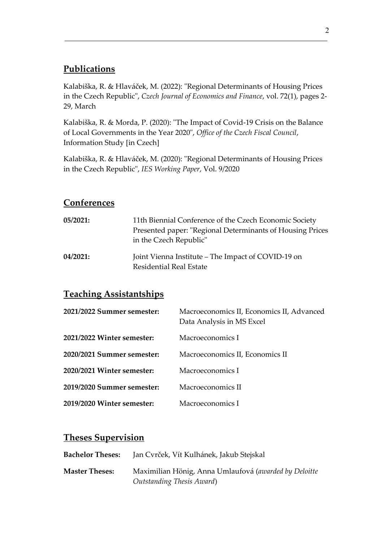## **Publications**

Kalabiška, R. & Hlaváček, M. (2022): "Regional Determinants of Housing Prices in the Czech Republic", *Czech Journal of Economics and Finance*, vol. 72(1), pages 2- 29, March

Kalabiška, R. & Morda, P. (2020): "The Impact of Covid-19 Crisis on the Balance of Local Governments in the Year 2020", *Office of the Czech Fiscal Council*, Information Study [in Czech]

Kalabiška, R. & Hlaváček, M. (2020): "Regional Determinants of Housing Prices in the Czech Republic", *IES Working Paper*, Vol. 9/2020

#### **Conferences**

| 05/2021: | 11th Biennial Conference of the Czech Economic Society<br>Presented paper: "Regional Determinants of Housing Prices<br>in the Czech Republic" |
|----------|-----------------------------------------------------------------------------------------------------------------------------------------------|
| 04/2021: | Joint Vienna Institute – The Impact of COVID-19 on<br>Residential Real Estate                                                                 |

## **Teaching Assistantships**

| 2021/2022 Summer semester: | Macroeconomics II, Economics II, Advanced<br>Data Analysis in MS Excel |
|----------------------------|------------------------------------------------------------------------|
| 2021/2022 Winter semester: | Macroeconomics I                                                       |
| 2020/2021 Summer semester: | Macroeconomics II, Economics II                                        |
| 2020/2021 Winter semester: | Macroeconomics I                                                       |
| 2019/2020 Summer semester: | Macroeconomics II                                                      |
| 2019/2020 Winter semester: | Macroeconomics I                                                       |

## **Theses Supervision**

| <b>Bachelor Theses:</b> | Jan Cvrček, Vít Kulhánek, Jakub Stejskal              |
|-------------------------|-------------------------------------------------------|
| <b>Master Theses:</b>   | Maximilian Hönig, Anna Umlaufová (awarded by Deloitte |
|                         | Outstanding Thesis Award)                             |